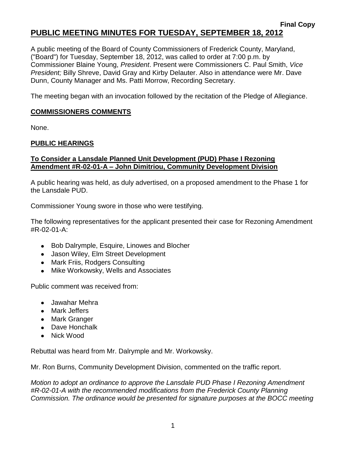#### **Final Copy PUBLIC MEETING MINUTES FOR TUESDAY, SEPTEMBER 18, 2012**

A public meeting of the Board of County Commissioners of Frederick County, Maryland, ("Board") for Tuesday, September 18, 2012, was called to order at 7:00 p.m. by Commissioner Blaine Young, *President*. Present were Commissioners C. Paul Smith, *Vice President;* Billy Shreve, David Gray and Kirby Delauter. Also in attendance were Mr. Dave Dunn, County Manager and Ms. Patti Morrow, Recording Secretary.

The meeting began with an invocation followed by the recitation of the Pledge of Allegiance.

## **COMMISSIONERS COMMENTS**

None.

## **PUBLIC HEARINGS**

### **To Consider a Lansdale Planned Unit Development (PUD) Phase I Rezoning Amendment #R-02-01-A – John Dimitriou, Community Development Division**

A public hearing was held, as duly advertised, on a proposed amendment to the Phase 1 for the Lansdale PUD.

Commissioner Young swore in those who were testifying.

The following representatives for the applicant presented their case for Rezoning Amendment #R-02-01-A:

- Bob Dalrymple, Esquire, Linowes and Blocher
- Jason Wiley, Elm Street Development
- Mark Friis, Rodgers Consulting
- Mike Workowsky, Wells and Associates

Public comment was received from:

- Jawahar Mehra
- Mark Jeffers
- Mark Granger
- Dave Honchalk
- Nick Wood

Rebuttal was heard from Mr. Dalrymple and Mr. Workowsky.

Mr. Ron Burns, Community Development Division, commented on the traffic report.

*Motion to adopt an ordinance to approve the Lansdale PUD Phase I Rezoning Amendment #R-02-01-A with the recommended modifications from the Frederick County Planning Commission. The ordinance would be presented for signature purposes at the BOCC meeting*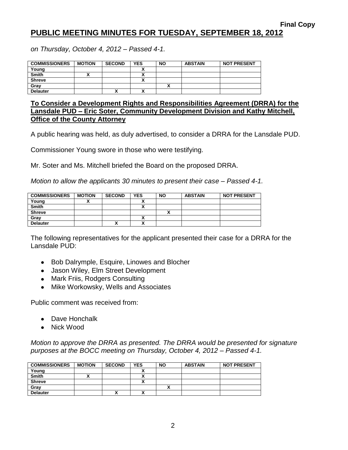# **PUBLIC MEETING MINUTES FOR TUESDAY, SEPTEMBER 18, 2012**

*on Thursday, October 4, 2012 – Passed 4-1.*

| <b>COMMISSIONERS</b> | <b>MOTION</b> | <b>SECOND</b> | <b>YES</b> | <b>NO</b> | <b>ABSTAIN</b> | <b>NOT PRESENT</b> |
|----------------------|---------------|---------------|------------|-----------|----------------|--------------------|
| Young                |               |               |            |           |                |                    |
| <b>Smith</b>         |               |               |            |           |                |                    |
| <b>Shreve</b>        |               |               |            |           |                |                    |
| Gray                 |               |               |            |           |                |                    |
| <b>Delauter</b>      |               | Λ             |            |           |                |                    |

**To Consider a Development Rights and Responsibilities Agreement (DRRA) for the Lansdale PUD – Eric Soter, Community Development Division and Kathy Mitchell, Office of the County Attorney**

A public hearing was held, as duly advertised, to consider a DRRA for the Lansdale PUD.

Commissioner Young swore in those who were testifying.

Mr. Soter and Ms. Mitchell briefed the Board on the proposed DRRA.

*Motion to allow the applicants 30 minutes to present their case – Passed 4-1.*

| <b>COMMISSIONERS</b> | <b>MOTION</b> | <b>SECOND</b> | <b>YES</b> | <b>NO</b> | <b>ABSTAIN</b> | <b>NOT PRESENT</b> |
|----------------------|---------------|---------------|------------|-----------|----------------|--------------------|
| Young                |               |               |            |           |                |                    |
| <b>Smith</b>         |               |               |            |           |                |                    |
| <b>Shreve</b>        |               |               |            |           |                |                    |
| Grav                 |               |               |            |           |                |                    |
| <b>Delauter</b>      |               | `<br>Λ        |            |           |                |                    |

The following representatives for the applicant presented their case for a DRRA for the Lansdale PUD:

- Bob Dalrymple, Esquire, Linowes and Blocher
- Jason Wiley, Elm Street Development
- Mark Friis, Rodgers Consulting
- Mike Workowsky, Wells and Associates

Public comment was received from:

- Dave Honchalk
- Nick Wood

*Motion to approve the DRRA as presented. The DRRA would be presented for signature purposes at the BOCC meeting on Thursday, October 4, 2012 – Passed 4-1.*

| <b>COMMISSIONERS</b> | <b>MOTION</b> | <b>SECOND</b> | <b>YES</b> | <b>NO</b> | <b>ABSTAIN</b> | <b>NOT PRESENT</b> |
|----------------------|---------------|---------------|------------|-----------|----------------|--------------------|
| Young                |               |               |            |           |                |                    |
| Smith                |               |               |            |           |                |                    |
| <b>Shreve</b>        |               |               |            |           |                |                    |
| Grav                 |               |               |            |           |                |                    |
| <b>Delauter</b>      |               | Λ             |            |           |                |                    |